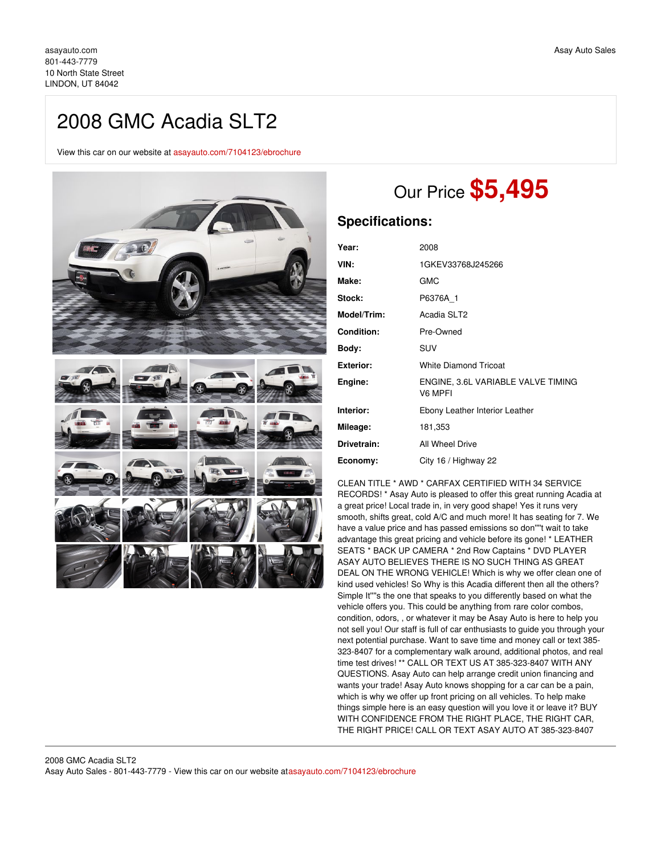## 2008 GMC Acadia SLT2

View this car on our website at [asayauto.com/7104123/ebrochure](https://asayauto.com/vehicle/7104123/2008-gmc-acadia-slt2-lindon-ut-84042/7104123/ebrochure)



# Our Price **\$5,495**

### **Specifications:**

| Year:             | 2008                                          |
|-------------------|-----------------------------------------------|
| VIN:              | 1GKEV33768J245266                             |
| Make:             | <b>GMC</b>                                    |
| Stock:            | P6376A 1                                      |
| Model/Trim:       | Acadia SLT2                                   |
| <b>Condition:</b> | Pre-Owned                                     |
| Body:             | SUV                                           |
| <b>Exterior:</b>  | <b>White Diamond Tricoat</b>                  |
| Engine:           | ENGINE, 3.6L VARIABLE VALVE TIMING<br>V6 MPFI |
| Interior:         | Ebony Leather Interior Leather                |
| Mileage:          | 181,353                                       |
| Drivetrain:       | All Wheel Drive                               |
| Economy:          | City 16 / Highway 22                          |

CLEAN TITLE \* AWD \* CARFAX CERTIFIED WITH 34 SERVICE RECORDS! \* Asay Auto is pleased to offer this great running Acadia at a great price! Local trade in, in very good shape! Yes it runs very smooth, shifts great, cold A/C and much more! It has seating for 7. We have a value price and has passed emissions so don''''t wait to take advantage this great pricing and vehicle before its gone! \* LEATHER SEATS \* BACK UP CAMERA \* 2nd Row Captains \* DVD PLAYER ASAY AUTO BELIEVES THERE IS NO SUCH THING AS GREAT DEAL ON THE WRONG VEHICLE! Which is why we offer clean one of kind used vehicles! So Why is this Acadia different then all the others? Simple It"'s the one that speaks to you differently based on what the vehicle offers you. This could be anything from rare color combos, condition, odors, , or whatever it may be Asay Auto is here to help you not sell you! Our staff is full of car enthusiasts to guide you through your next potential purchase. Want to save time and money call or text 385- 323-8407 for a complementary walk around, additional photos, and real time test drives! \*\* CALL OR TEXT US AT 385-323-8407 WITH ANY QUESTIONS. Asay Auto can help arrange credit union financing and wants your trade! Asay Auto knows shopping for a car can be a pain, which is why we offer up front pricing on all vehicles. To help make things simple here is an easy question will you love it or leave it? BUY WITH CONFIDENCE FROM THE RIGHT PLACE, THE RIGHT CAR, THE RIGHT PRICE! CALL OR TEXT ASAY AUTO AT 385-323-8407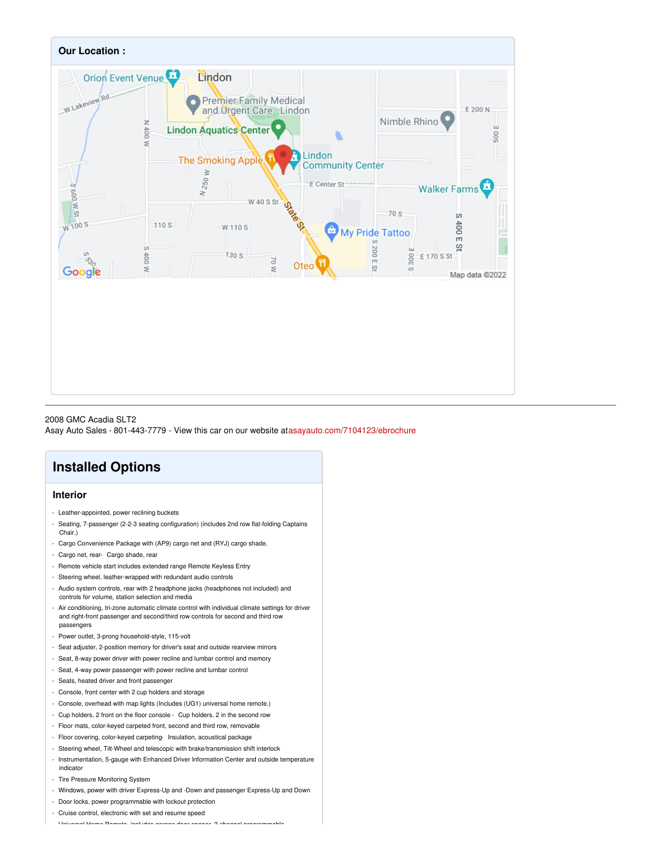

2008 GMC Acadia SLT2 Asay Auto Sales - 801-443-7779 - View this car on our website at[asayauto.com/7104123/ebrochure](https://asayauto.com/vehicle/7104123/2008-gmc-acadia-slt2-lindon-ut-84042/7104123/ebrochure)

## **Installed Options**

#### **Interior**

- Leather-appointed, power reclining buckets
- Seating, 7-passenger (2-2-3 seating configuration) (includes 2nd row flat-folding Captains Chair.)
- Cargo Convenience Package with (AP9) cargo net and (RYJ) cargo shade.
- Cargo net, rear- Cargo shade, rear
- Remote vehicle start includes extended range Remote Keyless Entry
- Steering wheel, leather-wrapped with redundant audio controls
- Audio system controls, rear with 2 headphone jacks (headphones not included) and controls for volume, station selection and media
- Air conditioning, tri-zone automatic climate control with individual climate settings for driver and right-front passenger and second/third row controls for second and third row passengers
- Power outlet, 3-prong household-style, 115-volt
- Seat adjuster, 2-position memory for driver's seat and outside rearview mirrors
- Seat, 8-way power driver with power recline and lumbar control and memory
- Seat, 4-way power passenger with power recline and lumbar control
- Seats, heated driver and front passenger
- Console, front center with 2 cup holders and storage
- Console, overhead with map lights (Includes (UG1) universal home remote.)
- Cup holders, 2 front on the floor console Cup holders, 2 in the second row
- Floor mats, color-keyed carpeted front, second and third row, removable
- Floor covering, color-keyed carpeting- Insulation, acoustical package
- Steering wheel, Tilt-Wheel and telescopic with brake/transmission shift interlock
- Instrumentation, 5-gauge with Enhanced Driver Information Center and outside temperature indicator
- Tire Pressure Monitoring System
- Windows, power with driver Express-Up and -Down and passenger Express-Up and Down
- Door locks, power programmable with lockout protection
- Cruise control, electronic with set and resume speed

- Universal Home Remote, includes garage door opener, 3-channel programmable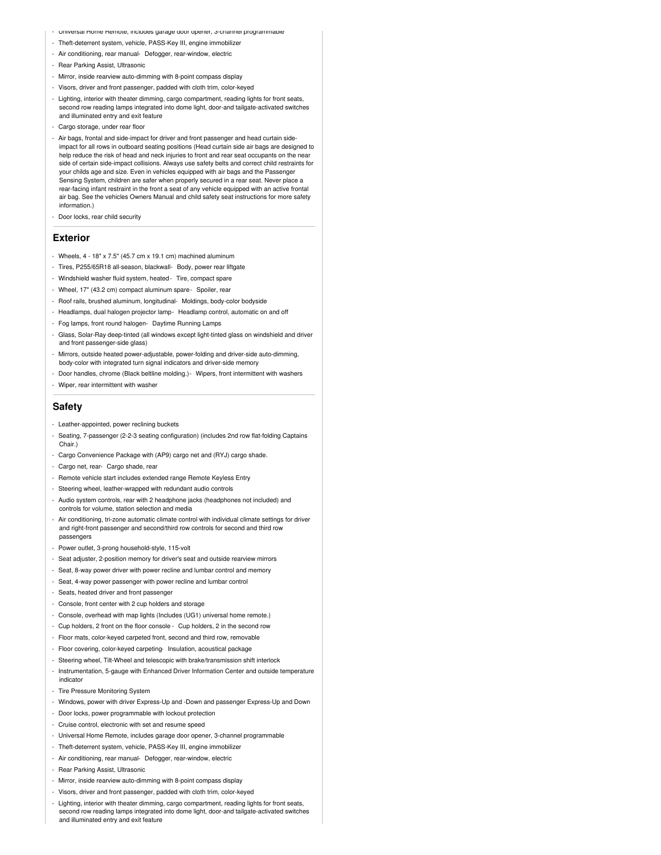- Universal Home Remote, includes garage door opener, 3-channel programmable
- Theft-deterrent system, vehicle, PASS-Key III, engine immobilizer
- Air conditioning, rear manual- Defogger, rear-window, electric
- Rear Parking Assist, Ultrasonic
- Mirror, inside rearview auto-dimming with 8-point compass display
- Visors, driver and front passenger, padded with cloth trim, color-keyed
- Lighting, interior with theater dimming, cargo compartment, reading lights for front seats, second row reading lamps integrated into dome light, door-and tailgate-activated switches and illuminated entry and exit feature
- Cargo storage, under rear floor
- Air bags, frontal and side-impact for driver and front passenger and head curtain sideimpact for all rows in outboard seating positions (Head curtain side air bags are designed to help reduce the risk of head and neck injuries to front and rear seat occupants on the near side of certain side-impact collisions. Always use safety belts and correct child restraints for your childs age and size. Even in vehicles equipped with air bags and the Passenger Sensing System, children are safer when properly secured in a rear seat. Never place a rear-facing infant restraint in the front a seat of any vehicle equipped with an active frontal air bag. See the vehicles Owners Manual and child safety seat instructions for more safety information.)
- Door locks, rear child security

#### **Exterior**

- Wheels,  $4 18" \times 7.5"$  (45.7 cm  $\times$  19.1 cm) machined aluminum
- Tires, P255/65R18 all-season, blackwall- Body, power rear liftgate
- Windshield washer fluid system, heated- Tire, compact spare
- Wheel, 17" (43.2 cm) compact aluminum spare- Spoiler, rear
- Roof rails, brushed aluminum, longitudinal- Moldings, body-color bodyside
- Headlamps, dual halogen projector lamp- Headlamp control, automatic on and off
- Fog lamps, front round halogen- Daytime Running Lamps
- Glass, Solar-Ray deep-tinted (all windows except light-tinted glass on windshield and driver and front passenger-side glass)
- Mirrors, outside heated power-adjustable, power-folding and driver-side auto-dimming, body-color with integrated turn signal indicators and driver-side memory
- Door handles, chrome (Black beltline molding.)- Wipers, front intermittent with washers
- Wiper, rear intermittent with washer

#### **Safety**

- Leather-appointed, power reclining buckets
- Seating, 7-passenger (2-2-3 seating configuration) (includes 2nd row flat-folding Captains Chair.)
- Cargo Convenience Package with (AP9) cargo net and (RYJ) cargo shade.
- Cargo net, rear- Cargo shade, rear
- Remote vehicle start includes extended range Remote Keyless Entry
- Steering wheel, leather-wrapped with redundant audio controls
- Audio system controls, rear with 2 headphone jacks (headphones not included) and controls for volume, station selection and media
- Air conditioning, tri-zone automatic climate control with individual climate settings for driver and right-front passenger and second/third row controls for second and third row passengers
- Power outlet, 3-prong household-style, 115-volt
- Seat adjuster, 2-position memory for driver's seat and outside rearview mirrors
- Seat, 8-way power driver with power recline and lumbar control and memory
- Seat, 4-way power passenger with power recline and lumbar control
- Seats, heated driver and front passenger
- Console, front center with 2 cup holders and storage
- Console, overhead with map lights (Includes (UG1) universal home remote.)
- Cup holders, 2 front on the floor console Cup holders, 2 in the second row
- Floor mats, color-keyed carpeted front, second and third row, removable
- Floor covering, color-keyed carpeting- Insulation, acoustical package
- Steering wheel, Tilt-Wheel and telescopic with brake/transmission shift interlock
- Instrumentation, 5-gauge with Enhanced Driver Information Center and outside temperature
- Tire Pressure Monitoring System

indicator

- Windows, power with driver Express-Up and -Down and passenger Express-Up and Down
- Door locks, power programmable with lockout protection
- Cruise control, electronic with set and resume speed
- Universal Home Remote, includes garage door opener, 3-channel programmable
- Theft-deterrent system, vehicle, PASS-Key III, engine immobilizer
- Air conditioning, rear manual- Defogger, rear-window, electric
- Rear Parking Assist, Ultrasonic
- Mirror, inside rearview auto-dimming with 8-point compass display
- ors, driver and front passenger, padded with cloth trim, color-keyed
- Lighting, interior with theater dimming, cargo compartment, reading lights for front seats, second row reading lamps integrated into dome light, door-and tailgate-activated switches and illuminated entry and exit feature